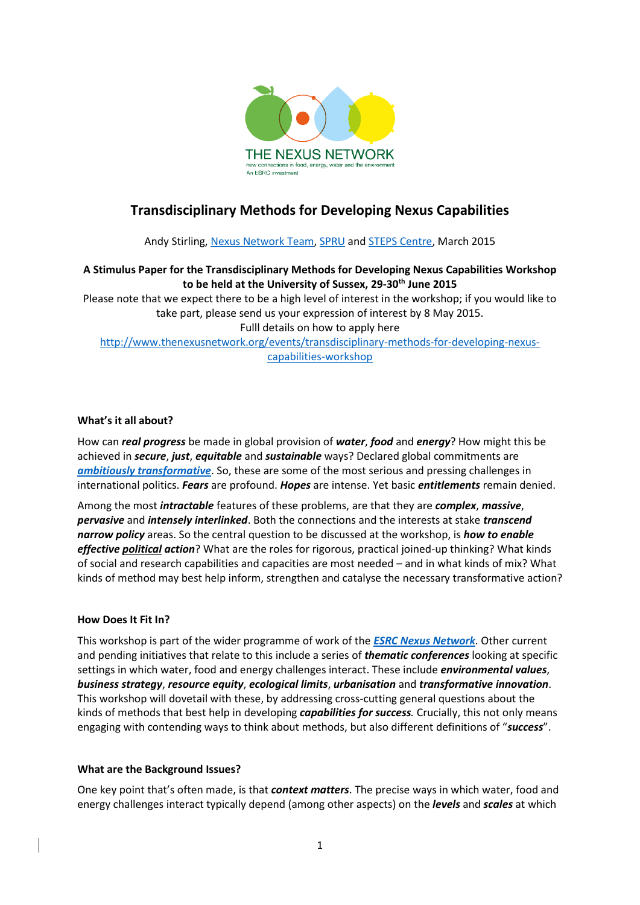

# **Transdisciplinary Methods for Developing Nexus Capabilities**

Andy Stirling, [Nexus Network Team,](http://www.thenexusnetwork.org/) [SPRU](http://www.sussex.ac.uk/spru/) and [STEPS Centre,](http://steps-centre.org/) March 2015

## **A Stimulus Paper for the Transdisciplinary Methods for Developing Nexus Capabilities Workshop to be held at the University of Sussex, 29-30th June 2015**

Please note that we expect there to be a high level of interest in the workshop; if you would like to take part, please send us your expression of interest by 8 May 2015. Fulll details on how to apply here [http://www.thenexusnetwork.org/events/transdisciplinary-methods-for-developing-nexus](http://www.thenexusnetwork.org/events/transdisciplinary-methods-for-developing-nexus-capabilities-workshop)[capabilities-workshop](http://www.thenexusnetwork.org/events/transdisciplinary-methods-for-developing-nexus-capabilities-workshop)

### **What's it all about?**

How can *real progress* be made in global provision of *water*, *food* and *energy*? How might this be achieved in *secure*, *just*, *equitable* and *sustainable* ways? Declared global commitments are *[ambitiously transformative](https://sustainabledevelopment.un.org/topics/sustainabledevelopmentgoals)*. So, these are some of the most serious and pressing challenges in international politics. *Fears* are profound. *Hopes* are intense. Yet basic *entitlements* remain denied.

Among the most *intractable* features of these problems, are that they are *complex*, *massive*, *pervasive* and *intensely interlinked*. Both the connections and the interests at stake *transcend narrow policy* areas. So the central question to be discussed at the workshop, is *how to enable effective political action*? What are the roles for rigorous, practical joined-up thinking? What kinds of social and research capabilities and capacities are most needed – and in what kinds of mix? What kinds of method may best help inform, strengthen and catalyse the necessary transformative action?

#### **How Does It Fit In?**

This workshop is part of the wider programme of work of the *[ESRC Nexus Network](http://www.thenexusnetwork.org/)*. Other current and pending initiatives that relate to this include a series of *thematic conferences* looking at specific settings in which water, food and energy challenges interact. These include *environmental values*, *business strategy*, *resource equity*, *ecological limits*, *urbanisation* and *transformative innovation*. This workshop will dovetail with these, by addressing cross-cutting general questions about the kinds of methods that best help in developing *capabilities for success.* Crucially, this not only means engaging with contending ways to think about methods, but also different definitions of "*success*".

#### **What are the Background Issues?**

One key point that's often made, is that *context matters*. The precise ways in which water, food and energy challenges interact typically depend (among other aspects) on the *levels* and *scales* at which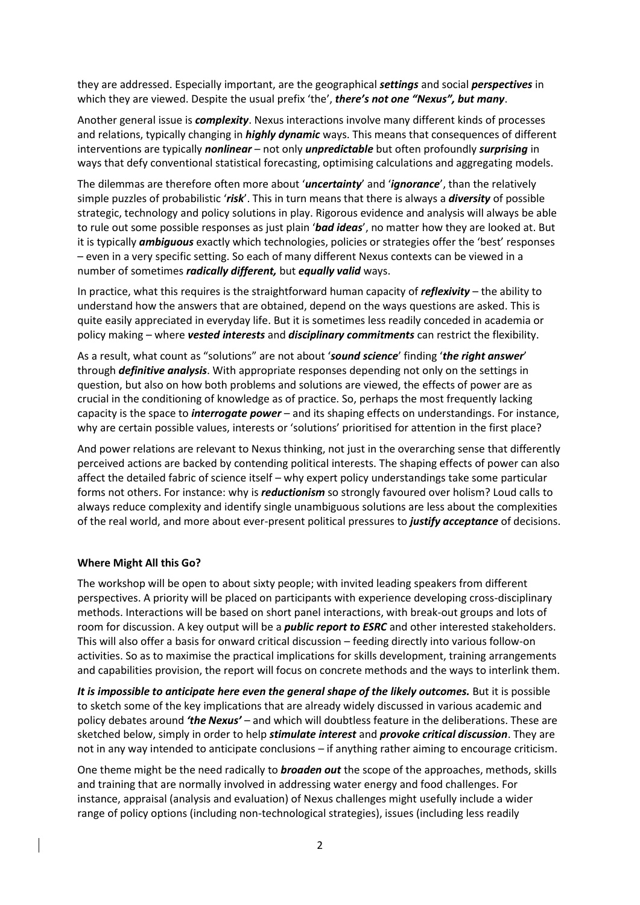they are addressed. Especially important, are the geographical *settings* and social *perspectives* in which they are viewed. Despite the usual prefix 'the', *there's not one "Nexus", but many*.

Another general issue is *complexity*. Nexus interactions involve many different kinds of processes and relations, typically changing in *highly dynamic* ways. This means that consequences of different interventions are typically *nonlinear* – not only *unpredictable* but often profoundly *surprising* in ways that defy conventional statistical forecasting, optimising calculations and aggregating models.

The dilemmas are therefore often more about '*uncertainty*' and '*ignorance*', than the relatively simple puzzles of probabilistic '*risk*'. This in turn means that there is always a *diversity* of possible strategic, technology and policy solutions in play. Rigorous evidence and analysis will always be able to rule out some possible responses as just plain '*bad ideas*', no matter how they are looked at. But it is typically *ambiguous* exactly which technologies, policies or strategies offer the 'best' responses – even in a very specific setting. So each of many different Nexus contexts can be viewed in a number of sometimes *radically different,* but *equally valid* ways.

In practice, what this requires is the straightforward human capacity of *reflexivity* – the ability to understand how the answers that are obtained, depend on the ways questions are asked. This is quite easily appreciated in everyday life. But it is sometimes less readily conceded in academia or policy making – where *vested interests* and *disciplinary commitments* can restrict the flexibility.

As a result, what count as "solutions" are not about '*sound science*' finding '*the right answer*' through *definitive analysis*. With appropriate responses depending not only on the settings in question, but also on how both problems and solutions are viewed, the effects of power are as crucial in the conditioning of knowledge as of practice. So, perhaps the most frequently lacking capacity is the space to *interrogate power* – and its shaping effects on understandings. For instance, why are certain possible values, interests or 'solutions' prioritised for attention in the first place?

And power relations are relevant to Nexus thinking, not just in the overarching sense that differently perceived actions are backed by contending political interests. The shaping effects of power can also affect the detailed fabric of science itself – why expert policy understandings take some particular forms not others. For instance: why is *reductionism* so strongly favoured over holism? Loud calls to always reduce complexity and identify single unambiguous solutions are less about the complexities of the real world, and more about ever-present political pressures to *justify acceptance* of decisions.

#### **Where Might All this Go?**

The workshop will be open to about sixty people; with invited leading speakers from different perspectives. A priority will be placed on participants with experience developing cross-disciplinary methods. Interactions will be based on short panel interactions, with break-out groups and lots of room for discussion. A key output will be a *public report to ESRC* and other interested stakeholders. This will also offer a basis for onward critical discussion – feeding directly into various follow-on activities. So as to maximise the practical implications for skills development, training arrangements and capabilities provision, the report will focus on concrete methods and the ways to interlink them.

*It is impossible to anticipate here even the general shape of the likely outcomes.* But it is possible to sketch some of the key implications that are already widely discussed in various academic and policy debates around *'the Nexus'* – and which will doubtless feature in the deliberations. These are sketched below, simply in order to help *stimulate interest* and *provoke critical discussion*. They are not in any way intended to anticipate conclusions – if anything rather aiming to encourage criticism.

One theme might be the need radically to *broaden out* the scope of the approaches, methods, skills and training that are normally involved in addressing water energy and food challenges. For instance, appraisal (analysis and evaluation) of Nexus challenges might usefully include a wider range of policy options (including non-technological strategies), issues (including less readily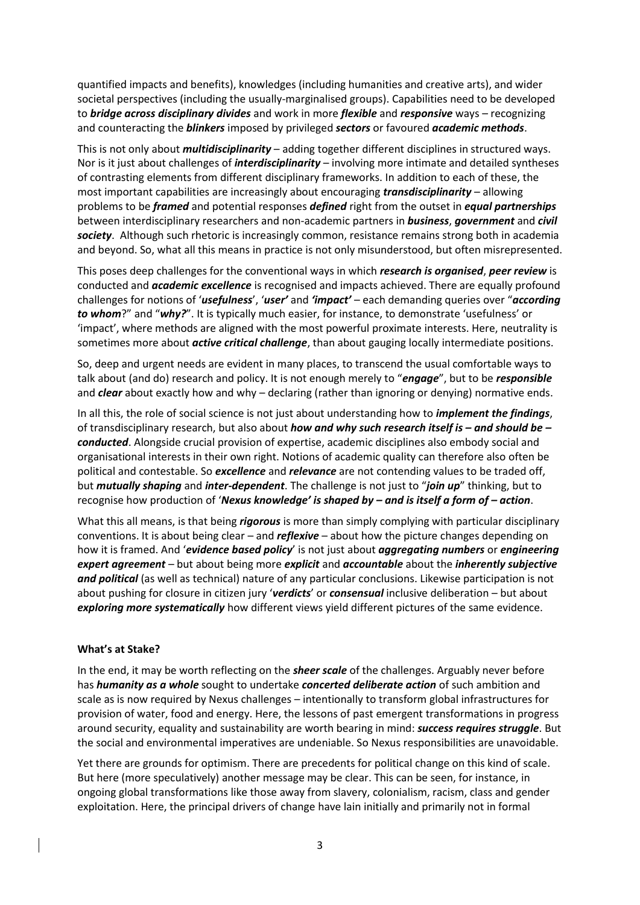quantified impacts and benefits), knowledges (including humanities and creative arts), and wider societal perspectives (including the usually-marginalised groups). Capabilities need to be developed to *bridge across disciplinary divides* and work in more *flexible* and *responsive* ways – recognizing and counteracting the *blinkers* imposed by privileged *sectors* or favoured *academic methods*.

This is not only about *multidisciplinarity* – adding together different disciplines in structured ways. Nor is it just about challenges of *interdisciplinarity* – involving more intimate and detailed syntheses of contrasting elements from different disciplinary frameworks. In addition to each of these, the most important capabilities are increasingly about encouraging *transdisciplinarity* – allowing problems to be *framed* and potential responses *defined* right from the outset in *equal partnerships* between interdisciplinary researchers and non-academic partners in *business*, *government* and *civil society*. Although such rhetoric is increasingly common, resistance remains strong both in academia and beyond. So, what all this means in practice is not only misunderstood, but often misrepresented.

This poses deep challenges for the conventional ways in which *research is organised*, *peer review* is conducted and *academic excellence* is recognised and impacts achieved. There are equally profound challenges for notions of '*usefulness*', '*user'* and *'impact'* – each demanding queries over "*according to whom*?" and "*why?*". It is typically much easier, for instance, to demonstrate 'usefulness' or 'impact', where methods are aligned with the most powerful proximate interests. Here, neutrality is sometimes more about *active critical challenge*, than about gauging locally intermediate positions.

So, deep and urgent needs are evident in many places, to transcend the usual comfortable ways to talk about (and do) research and policy. It is not enough merely to "*engage*", but to be *responsible*  and *clear* about exactly how and why – declaring (rather than ignoring or denying) normative ends.

In all this, the role of social science is not just about understanding how to *implement the findings*, of transdisciplinary research, but also about *how and why such research itself is – and should be – conducted*. Alongside crucial provision of expertise, academic disciplines also embody social and organisational interests in their own right. Notions of academic quality can therefore also often be political and contestable. So *excellence* and *relevance* are not contending values to be traded off, but *mutually shaping* and *inter-dependent*. The challenge is not just to "*join up*" thinking, but to recognise how production of '*Nexus knowledge' is shaped by – and is itself a form of – action*.

What this all means, is that being *rigorous* is more than simply complying with particular disciplinary conventions. It is about being clear – and *reflexive* – about how the picture changes depending on how it is framed. And '*evidence based policy*' is not just about *aggregating numbers* or *engineering expert agreement* – but about being more *explicit* and *accountable* about the *inherently subjective and political* (as well as technical) nature of any particular conclusions. Likewise participation is not about pushing for closure in citizen jury '*verdicts*' or *consensual* inclusive deliberation – but about *exploring more systematically* how different views yield different pictures of the same evidence.

#### **What's at Stake?**

In the end, it may be worth reflecting on the *sheer scale* of the challenges. Arguably never before has *humanity as a whole* sought to undertake *concerted deliberate action* of such ambition and scale as is now required by Nexus challenges – intentionally to transform global infrastructures for provision of water, food and energy. Here, the lessons of past emergent transformations in progress around security, equality and sustainability are worth bearing in mind: *success requires struggle*. But the social and environmental imperatives are undeniable. So Nexus responsibilities are unavoidable.

Yet there are grounds for optimism. There are precedents for political change on this kind of scale. But here (more speculatively) another message may be clear. This can be seen, for instance, in ongoing global transformations like those away from slavery, colonialism, racism, class and gender exploitation. Here, the principal drivers of change have lain initially and primarily not in formal